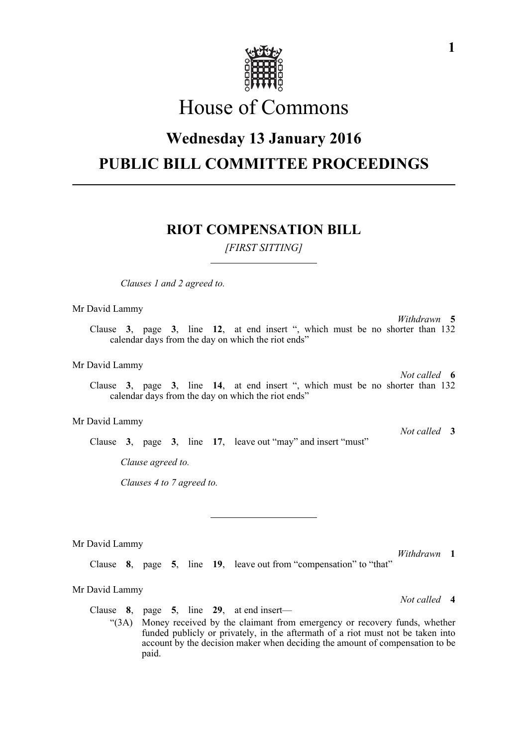

# House of Commons

## **Wednesday 13 January 2016 PUBLIC BILL COMMITTEE PROCEEDINGS**

### **RIOT COMPENSATION BILL**

*[FIRST SITTING]*

*Clauses 1 and 2 agreed to.*

Mr David Lammy

*Withdrawn* **5** Clause **3**, page **3**, line **12**, at end insert ", which must be no shorter than 132 calendar days from the day on which the riot ends"

Mr David Lammy

*Not called* **6** Clause **3**, page **3**, line **14**, at end insert ", which must be no shorter than 132 calendar days from the day on which the riot ends"

#### Mr David Lammy

Clause **3**, page **3**, line **17**, leave out "may" and insert "must"

*Clause agreed to.*

*Clauses 4 to 7 agreed to.*

Mr David Lammy

Clause **8**, page **5**, line **19**, leave out from "compensation" to "that"

Mr David Lammy

Clause **8**, page **5**, line **29**, at end insert—

"(3A) Money received by the claimant from emergency or recovery funds, whether funded publicly or privately, in the aftermath of a riot must not be taken into account by the decision maker when deciding the amount of compensation to be paid.

**1**

*Withdrawn* **1**

*Not called* **4**

*Not called* **3**